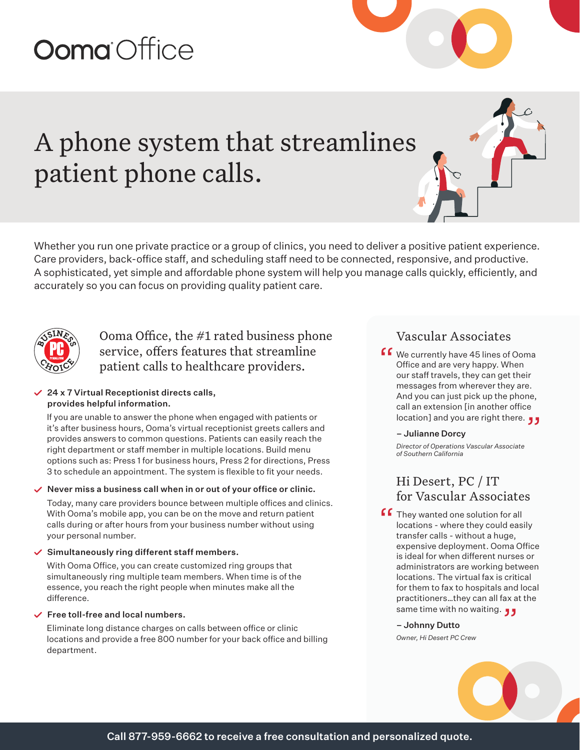# **Ooma** Office

## A phone system that streamlines patient phone calls.

Whether you run one private practice or a group of clinics, you need to deliver a positive patient experience. Care providers, back-office staff, and scheduling staff need to be connected, responsive, and productive. A sophisticated, yet simple and affordable phone system will help you manage calls quickly, efficiently, and accurately so you can focus on providing quality patient care.



Ooma Office, the #1 rated business phone service, offers features that streamline patient calls to healthcare providers.

## $\angle$  24 x 7 Virtual Receptionist directs calls, provides helpful information.

If you are unable to answer the phone when engaged with patients or it's after business hours, Ooma's virtual receptionist greets callers and provides answers to common questions. Patients can easily reach the right department or staff member in multiple locations. Build menu options such as: Press 1 for business hours, Press 2 for directions, Press 3 to schedule an appointment. The system is flexible to fit your needs.

### $\checkmark$  Never miss a business call when in or out of your office or clinic.

Today, many care providers bounce between multiple offices and clinics. With Ooma's mobile app, you can be on the move and return patient calls during or after hours from your business number without using your personal number.

## $\checkmark$  Simultaneously ring different staff members.

With Ooma Office, you can create customized ring groups that simultaneously ring multiple team members. When time is of the essence, you reach the right people when minutes make all the difference.

## $\checkmark$  Free toll-free and local numbers.

Eliminate long distance charges on calls between office or clinic locations and provide a free 800 number for your back office and billing department.

## Vascular Associates

**f 6** We currently have 45 lines of Ooma<br>Office and are very happy. When<br>our staff travels, they can get their Office and are very happy. When our staff travels, they can get their messages from wherever they are. And you can just pick up the phone, call an extension [in another office call an extension [in another office<br>location] and you are right there. ڕ

### – Julianne Dorcy

*Director of Operations Vascular Associate of Southern California* 

## Hi Desert, PC / IT for Vascular Associates

**f** They wanted one solution for all<br>locations - where they could eas<br>transfor calls - without a hugo locations - where they could easily transfer calls - without a huge, expensive deployment. Ooma Office is ideal for when different nurses or administrators are working between locations. The virtual fax is critical for them to fax to hospitals and local practitioners…they can all fax at the practitioners...they can all fax a<br>**و و** same time with no waiting.

### – Johnny Dutto

*Owner, Hi Desert PC Crew*